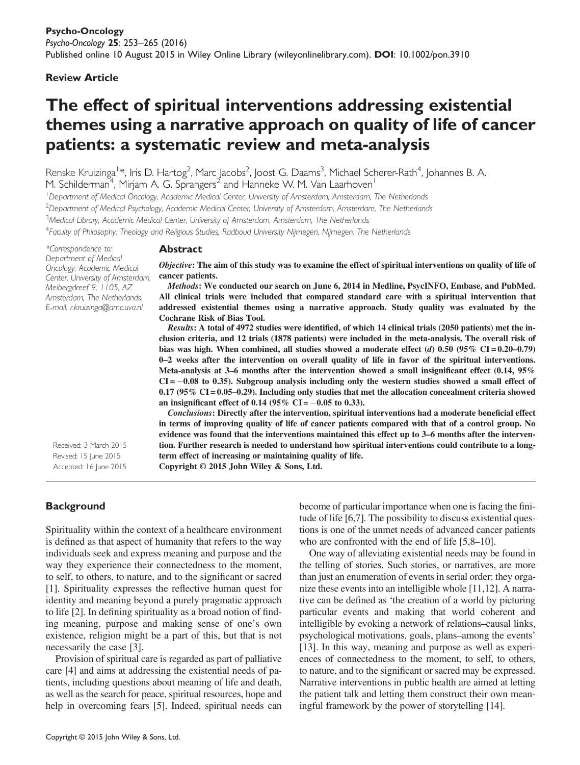# Review Article

# The effect of spiritual interventions addressing existential themes using a narrative approach on quality of life of cancer patients: a systematic review and meta-analysis

Renske Kruizinga<sup>1</sup>\*, Iris D. Hartog<sup>2</sup>, Marc Jacobs<sup>2</sup>, Joost G. Daams<sup>3</sup>, Michael Scherer-Rath<sup>4</sup>, Johannes B. A.

M. Schilderman<sup>4</sup>, Mirjam A. G. Sprangers<sup>2</sup> and Hanneke W. M. Van Laarhoven<sup>1</sup>

<sup>1</sup>Department of Medical Oncology, Academic Medical Center, University of Amsterdam, Amsterdam, The Netherlands

<sup>2</sup>Department of Medical Psychology, Academic Medical Center, University of Amsterdam, Amsterdam, The Netherlands

<sup>3</sup>Medical Library, Academic Medical Center, University of Amsterdam, Amsterdam, The Netherlands

<sup>4</sup>Faculty of Philosophy, Theology and Religious Studies, Radboud University Nijmegen, Nijmegen, The Netherlands

\*Correspondence to: Department of Medical Oncology, Academic Medical Center, University of Amsterdam, Meibergdreef 9, 1105, AZ Amsterdam, The Netherlands. E-mail: r.kruizinga@amc.uva.nl

# Abstract

Objective: The aim of this study was to examine the effect of spiritual interventions on quality of life of cancer patients.

Methods: We conducted our search on June 6, 2014 in Medline, PsycINFO, Embase, and PubMed. All clinical trials were included that compared standard care with a spiritual intervention that addressed existential themes using a narrative approach. Study quality was evaluated by the Cochrane Risk of Bias Tool.

Results: A total of 4972 studies were identified, of which 14 clinical trials (2050 patients) met the inclusion criteria, and 12 trials (1878 patients) were included in the meta-analysis. The overall risk of bias was high. When combined, all studies showed a moderate effect (d) 0.50 (95% CI = 0.20–0.79) 0–2 weeks after the intervention on overall quality of life in favor of the spiritual interventions. Meta-analysis at 3–6 months after the intervention showed a small insignificant effect (0.14, 95%  $CI = -0.08$  to 0.35). Subgroup analysis including only the western studies showed a small effect of  $0.17$  (95% CI = 0.05–0.29). Including only studies that met the allocation concealment criteria showed an insignificant effect of 0.14 (95% CI =  $-0.05$  to 0.33).

Conclusions: Directly after the intervention, spiritual interventions had a moderate beneficial effect in terms of improving quality of life of cancer patients compared with that of a control group. No evidence was found that the interventions maintained this effect up to 3–6 months after the intervention. Further research is needed to understand how spiritual interventions could contribute to a longterm effect of increasing or maintaining quality of life. Copyright © 2015 John Wiley & Sons, Ltd.

Received: 3 March 2015 Revised: 15 June 2015 Accepted: 16 June 2015

# **Background**

Spirituality within the context of a healthcare environment is defined as that aspect of humanity that refers to the way individuals seek and express meaning and purpose and the way they experience their connectedness to the moment, to self, to others, to nature, and to the significant or sacred [1]. Spirituality expresses the reflective human quest for identity and meaning beyond a purely pragmatic approach to life [2]. In defining spirituality as a broad notion of finding meaning, purpose and making sense of one's own existence, religion might be a part of this, but that is not necessarily the case [3].

Provision of spiritual care is regarded as part of palliative care [4] and aims at addressing the existential needs of patients, including questions about meaning of life and death, as well as the search for peace, spiritual resources, hope and help in overcoming fears [5]. Indeed, spiritual needs can become of particular importance when one is facing the finitude of life [6,7]. The possibility to discuss existential questions is one of the unmet needs of advanced cancer patients who are confronted with the end of life [5,8–10].

One way of alleviating existential needs may be found in the telling of stories. Such stories, or narratives, are more than just an enumeration of events in serial order: they organize these events into an intelligible whole [11,12]. A narrative can be defined as 'the creation of a world by picturing particular events and making that world coherent and intelligible by evoking a network of relations–causal links, psychological motivations, goals, plans–among the events' [13]. In this way, meaning and purpose as well as experiences of connectedness to the moment, to self, to others, to nature, and to the significant or sacred may be expressed. Narrative interventions in public health are aimed at letting the patient talk and letting them construct their own meaningful framework by the power of storytelling [14].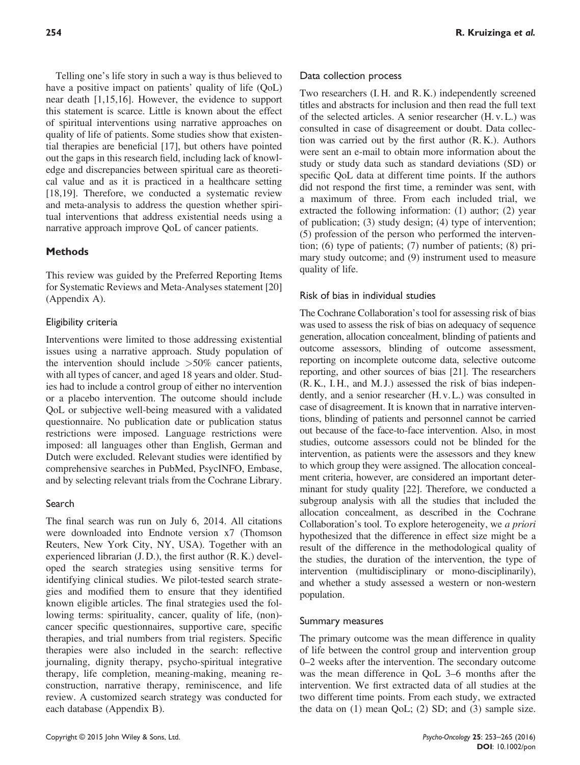Telling one's life story in such a way is thus believed to have a positive impact on patients' quality of life (QoL) near death [1,15,16]. However, the evidence to support this statement is scarce. Little is known about the effect of spiritual interventions using narrative approaches on quality of life of patients. Some studies show that existential therapies are beneficial [17], but others have pointed out the gaps in this research field, including lack of knowledge and discrepancies between spiritual care as theoretical value and as it is practiced in a healthcare setting [18,19]. Therefore, we conducted a systematic review and meta-analysis to address the question whether spiritual interventions that address existential needs using a narrative approach improve QoL of cancer patients.

# **Methods**

This review was guided by the Preferred Reporting Items for Systematic Reviews and Meta-Analyses statement [20] (Appendix A).

# Eligibility criteria

Interventions were limited to those addressing existential issues using a narrative approach. Study population of the intervention should include  $>50\%$  cancer patients, with all types of cancer, and aged 18 years and older. Studies had to include a control group of either no intervention or a placebo intervention. The outcome should include QoL or subjective well-being measured with a validated questionnaire. No publication date or publication status restrictions were imposed. Language restrictions were imposed: all languages other than English, German and Dutch were excluded. Relevant studies were identified by comprehensive searches in PubMed, PsycINFO, Embase, and by selecting relevant trials from the Cochrane Library.

# Search

The final search was run on July 6, 2014. All citations were downloaded into Endnote version x7 (Thomson Reuters, New York City, NY, USA). Together with an experienced librarian (J. D.), the first author (R. K.) developed the search strategies using sensitive terms for identifying clinical studies. We pilot-tested search strategies and modified them to ensure that they identified known eligible articles. The final strategies used the following terms: spirituality, cancer, quality of life, (non) cancer specific questionnaires, supportive care, specific therapies, and trial numbers from trial registers. Specific therapies were also included in the search: reflective journaling, dignity therapy, psycho-spiritual integrative therapy, life completion, meaning-making, meaning reconstruction, narrative therapy, reminiscence, and life review. A customized search strategy was conducted for each database (Appendix B).

# Data collection process

Two researchers (I. H. and R. K.) independently screened titles and abstracts for inclusion and then read the full text of the selected articles. A senior researcher (H. v. L.) was consulted in case of disagreement or doubt. Data collection was carried out by the first author (R. K.). Authors were sent an e-mail to obtain more information about the study or study data such as standard deviations (SD) or specific QoL data at different time points. If the authors did not respond the first time, a reminder was sent, with a maximum of three. From each included trial, we extracted the following information: (1) author; (2) year of publication; (3) study design; (4) type of intervention; (5) profession of the person who performed the intervention; (6) type of patients; (7) number of patients; (8) primary study outcome; and (9) instrument used to measure quality of life.

# Risk of bias in individual studies

The Cochrane Collaboration's tool for assessing risk of bias was used to assess the risk of bias on adequacy of sequence generation, allocation concealment, blinding of patients and outcome assessors, blinding of outcome assessment, reporting on incomplete outcome data, selective outcome reporting, and other sources of bias [21]. The researchers (R. K., I. H., and M. J.) assessed the risk of bias independently, and a senior researcher (H. v. L.) was consulted in case of disagreement. It is known that in narrative interventions, blinding of patients and personnel cannot be carried out because of the face-to-face intervention. Also, in most studies, outcome assessors could not be blinded for the intervention, as patients were the assessors and they knew to which group they were assigned. The allocation concealment criteria, however, are considered an important determinant for study quality [22]. Therefore, we conducted a subgroup analysis with all the studies that included the allocation concealment, as described in the Cochrane Collaboration's tool. To explore heterogeneity, we a priori hypothesized that the difference in effect size might be a result of the difference in the methodological quality of the studies, the duration of the intervention, the type of intervention (multidisciplinary or mono-disciplinarily), and whether a study assessed a western or non-western population.

# Summary measures

The primary outcome was the mean difference in quality of life between the control group and intervention group 0–2 weeks after the intervention. The secondary outcome was the mean difference in QoL 3–6 months after the intervention. We first extracted data of all studies at the two different time points. From each study, we extracted the data on  $(1)$  mean QoL;  $(2)$  SD; and  $(3)$  sample size.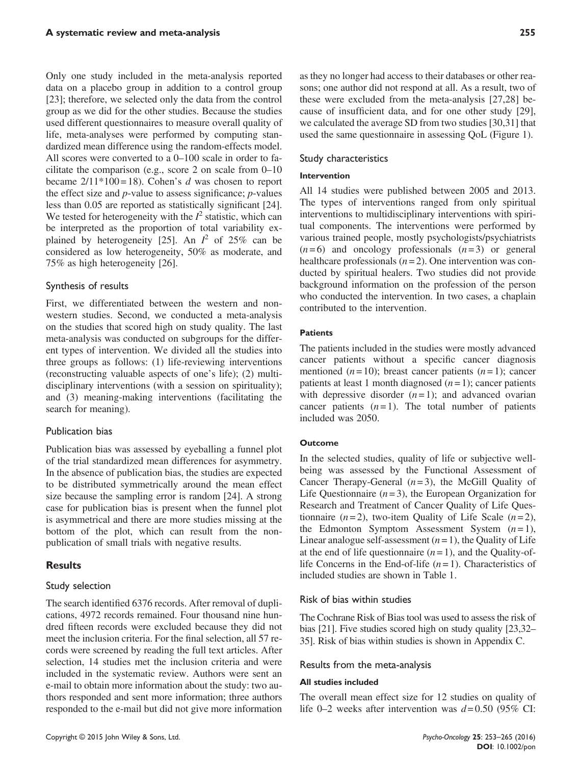Only one study included in the meta-analysis reported data on a placebo group in addition to a control group [23]; therefore, we selected only the data from the control group as we did for the other studies. Because the studies used different questionnaires to measure overall quality of life, meta-analyses were performed by computing standardized mean difference using the random-effects model. All scores were converted to a 0–100 scale in order to facilitate the comparison (e.g., score 2 on scale from 0–10 became  $2/11*100 = 18$ ). Cohen's d was chosen to report the effect size and  $p$ -value to assess significance;  $p$ -values less than 0.05 are reported as statistically significant [24]. We tested for heterogeneity with the  $I^2$  statistic, which can be interpreted as the proportion of total variability explained by heterogeneity [25]. An  $I^2$  of 25% can be considered as low heterogeneity, 50% as moderate, and 75% as high heterogeneity [26].

#### Synthesis of results

First, we differentiated between the western and nonwestern studies. Second, we conducted a meta-analysis on the studies that scored high on study quality. The last meta-analysis was conducted on subgroups for the different types of intervention. We divided all the studies into three groups as follows: (1) life-reviewing interventions (reconstructing valuable aspects of one's life); (2) multidisciplinary interventions (with a session on spirituality); and (3) meaning-making interventions (facilitating the search for meaning).

## Publication bias

Publication bias was assessed by eyeballing a funnel plot of the trial standardized mean differences for asymmetry. In the absence of publication bias, the studies are expected to be distributed symmetrically around the mean effect size because the sampling error is random [24]. A strong case for publication bias is present when the funnel plot is asymmetrical and there are more studies missing at the bottom of the plot, which can result from the nonpublication of small trials with negative results.

## **Results**

#### Study selection

The search identified 6376 records. After removal of duplications, 4972 records remained. Four thousand nine hundred fifteen records were excluded because they did not meet the inclusion criteria. For the final selection, all 57 records were screened by reading the full text articles. After selection, 14 studies met the inclusion criteria and were included in the systematic review. Authors were sent an e-mail to obtain more information about the study: two authors responded and sent more information; three authors responded to the e-mail but did not give more information

as they no longer had access to their databases or other reasons; one author did not respond at all. As a result, two of these were excluded from the meta-analysis [27,28] because of insufficient data, and for one other study [29], we calculated the average SD from two studies [30,31] that used the same questionnaire in assessing QoL (Figure 1).

## Study characteristics

## Intervention

All 14 studies were published between 2005 and 2013. The types of interventions ranged from only spiritual interventions to multidisciplinary interventions with spiritual components. The interventions were performed by various trained people, mostly psychologists/psychiatrists  $(n=6)$  and oncology professionals  $(n=3)$  or general healthcare professionals  $(n=2)$ . One intervention was conducted by spiritual healers. Two studies did not provide background information on the profession of the person who conducted the intervention. In two cases, a chaplain contributed to the intervention.

## **Patients**

The patients included in the studies were mostly advanced cancer patients without a specific cancer diagnosis mentioned  $(n=10)$ ; breast cancer patients  $(n=1)$ ; cancer patients at least 1 month diagnosed  $(n=1)$ ; cancer patients with depressive disorder  $(n=1)$ ; and advanced ovarian cancer patients  $(n=1)$ . The total number of patients included was 2050.

#### **Outcome**

In the selected studies, quality of life or subjective wellbeing was assessed by the Functional Assessment of Cancer Therapy-General  $(n=3)$ , the McGill Quality of Life Questionnaire  $(n=3)$ , the European Organization for Research and Treatment of Cancer Quality of Life Questionnaire  $(n=2)$ , two-item Quality of Life Scale  $(n=2)$ , the Edmonton Symptom Assessment System  $(n=1)$ , Linear analogue self-assessment  $(n = 1)$ , the Quality of Life at the end of life questionnaire  $(n=1)$ , and the Quality-oflife Concerns in the End-of-life  $(n=1)$ . Characteristics of included studies are shown in Table 1.

#### Risk of bias within studies

The Cochrane Risk of Bias tool was used to assess the risk of bias [21]. Five studies scored high on study quality [23,32– 35]. Risk of bias within studies is shown in Appendix C.

#### Results from the meta-analysis

## All studies included

The overall mean effect size for 12 studies on quality of life 0–2 weeks after intervention was  $d = 0.50$  (95% CI: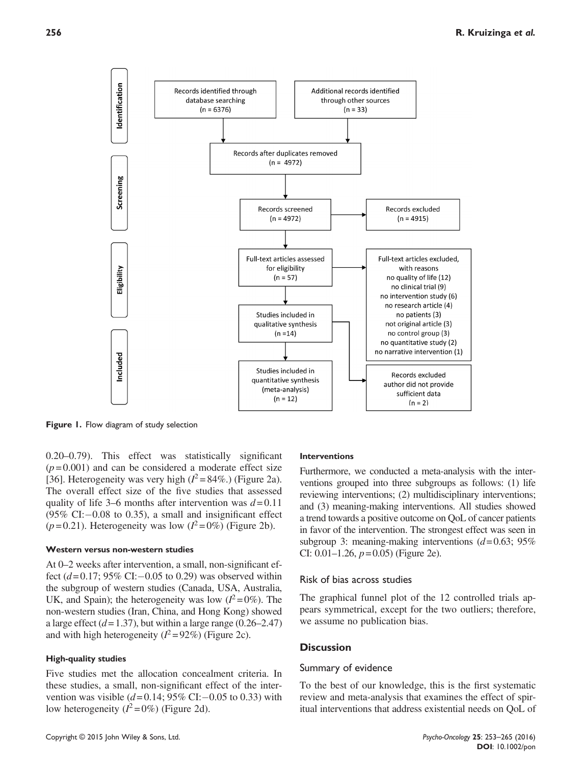

Figure 1. Flow diagram of study selection

0.20–0.79). This effect was statistically significant  $(p=0.001)$  and can be considered a moderate effect size [36]. Heterogeneity was very high  $(I^2 = 84\%.)$  (Figure 2a). The overall effect size of the five studies that assessed quality of life 3–6 months after intervention was  $d = 0.11$  $(95\% \text{ CI}$ : $-0.08 \text{ to } 0.35)$ , a small and insignificant effect ( $p=0.21$ ). Heterogeneity was low ( $l^2=0\%$ ) (Figure 2b).

## Western versus non-western studies

At 0–2 weeks after intervention, a small, non-significant effect  $(d = 0.17; 95\% \text{ CI}$ :  $-0.05$  to 0.29) was observed within the subgroup of western studies (Canada, USA, Australia, UK, and Spain); the heterogeneity was low  $(I^2=0\%)$ . The non-western studies (Iran, China, and Hong Kong) showed a large effect  $(d=1.37)$ , but within a large range  $(0.26-2.47)$ and with high heterogeneity  $(I^2 = 92\%)$  (Figure 2c).

#### High-quality studies

Five studies met the allocation concealment criteria. In these studies, a small, non-significant effect of the intervention was visible  $(d = 0.14; 95\% \text{ CI}$ : $-0.05$  to 0.33) with low heterogeneity  $(I^2=0\%)$  (Figure 2d).

#### Interventions

Furthermore, we conducted a meta-analysis with the interventions grouped into three subgroups as follows: (1) life reviewing interventions; (2) multidisciplinary interventions; and (3) meaning-making interventions. All studies showed a trend towards a positive outcome on QoL of cancer patients in favor of the intervention. The strongest effect was seen in subgroup 3: meaning-making interventions  $(d= 0.63; 95\%)$ CI:  $0.01-1.26$ ,  $p=0.05$ ) (Figure 2e).

## Risk of bias across studies

The graphical funnel plot of the 12 controlled trials appears symmetrical, except for the two outliers; therefore, we assume no publication bias.

# **Discussion**

#### Summary of evidence

To the best of our knowledge, this is the first systematic review and meta-analysis that examines the effect of spiritual interventions that address existential needs on QoL of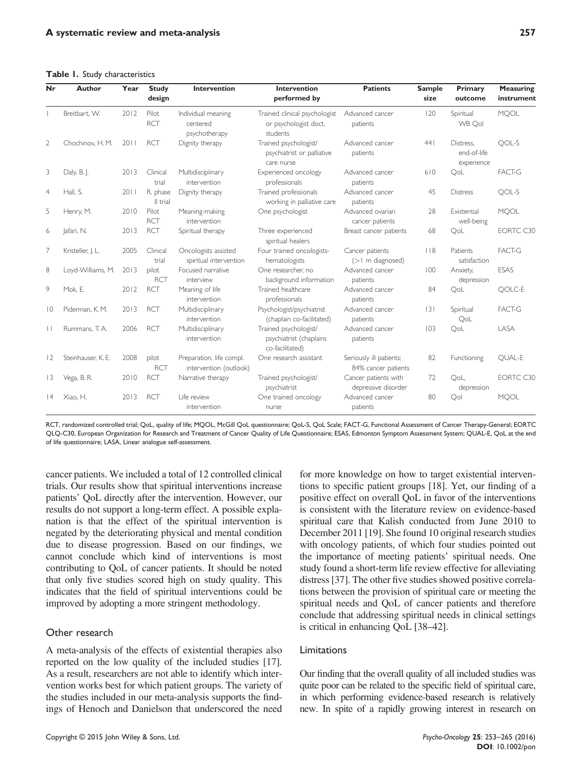#### Table 1. Study characteristics

| <b>Nr</b>       | Author             | Year | <b>Study</b><br>design | <b>Intervention</b>                                | <b>Intervention</b><br>performed by                                 | <b>Patients</b>                                | <b>Sample</b><br>size | Primary<br>outcome                     | <b>Measuring</b><br>instrument |
|-----------------|--------------------|------|------------------------|----------------------------------------------------|---------------------------------------------------------------------|------------------------------------------------|-----------------------|----------------------------------------|--------------------------------|
|                 | Breitbart. W.      | 2012 | Pilot<br><b>RCT</b>    | Individual meaning<br>centered<br>psychotherapy    | Trained clinical psychologist<br>or psychologist doct.<br>students  | Advanced cancer<br>patients                    | 120                   | Spiritual<br>WB Qol                    | MQOL                           |
| $\overline{2}$  | Chochinov. H. M.   | 2011 | <b>RCT</b>             | Dignity therapy                                    | Trained psychologist/<br>psychiatrist or palliative<br>care nurse   | Advanced cancer<br>patients                    | 44                    | Distress.<br>end-of-life<br>experience | <b>OOL-S</b>                   |
| 3               | Daly, B. J.        | 2013 | Clinical<br>trial      | Multidisciplinary<br>intervention                  | Experienced oncology<br>professionals                               | Advanced cancer<br>patients                    | 610                   | OoL                                    | <b>FACT-G</b>                  |
| $\overline{4}$  | Hall, S.           | 2011 | R. phase<br>Il trial   | Dignity therapy                                    | Trained professionals<br>working in palliative care                 | Advanced cancer<br>patients                    | 45                    | Distress                               | <b>OOL-S</b>                   |
| 5               | Henry, M.          | 2010 | Pilot<br><b>RCT</b>    | Meaning-making<br>intervention                     | One psychologist                                                    | Advanced ovarian<br>cancer patients            | 28                    | Existential<br>well-being              | MQOL                           |
| 6               | Jafari, N.         | 2013 | <b>RCT</b>             | Spiritual therapy                                  | Three experienced<br>spiritual healers                              | Breast cancer patients                         | 68                    | OoL                                    | EORTC C30                      |
| 7               | Kristeller, J. L.  | 2005 | Clinical<br>trial      | Oncologists assisted<br>spiritual intervention     | Four trained oncologists-<br>hematologists                          | Cancer patients<br>$($ m diagnosed)            | $ $ $ $ $ $ $ $       | Patients<br>satisfaction               | FACT-G                         |
| 8               | Loyd-Williams, M.  | 2013 | pilot<br><b>RCT</b>    | Focused narrative<br>interview                     | One researcher, no<br>background information                        | Advanced cancer<br>patients                    | 100                   | Anxiety,<br>depression                 | ESAS                           |
| 9               | Mok, E.            | 2012 | <b>RCT</b>             | Meaning of life<br>intervention                    | Trained healthcare<br>professionals                                 | Advanced cancer<br>patients                    | 84                    | OoL                                    | <b>OOLC-E</b>                  |
| $\overline{10}$ | Piderman, K.M.     | 2013 | <b>RCT</b>             | Multidisciplinary<br>intervention                  | Psychologist/psychiatrist<br>(chaplain co-facilitated)              | Advanced cancer<br>patients                    | 3                     | Spiritual<br>OoL                       | <b>FACT-G</b>                  |
| $\mathbf{H}$    | Rummans, T.A.      | 2006 | <b>RCT</b>             | Multidisciplinary<br>intervention                  | Trained psychologist/<br>psychiatrist (chaplains<br>co-facilitated) | Advanced cancer<br>patients                    | 103                   | OoL                                    | <b>LASA</b>                    |
| $\overline{12}$ | Steinhauser, K. E. | 2008 | pilot<br><b>RCT</b>    | Preparation, life compl.<br>intervention (outlook) | One research assistant                                              | Seriously ill patients;<br>84% cancer patients | 82                    | Functioning                            | <b>OUAL-E</b>                  |
| 3               | Vega, B.R.         | 2010 | <b>RCT</b>             | Narrative therapy                                  | Trained psychologist/<br>psychiatrist                               | Cancer patients with<br>depressive disorder    | 72                    | OoL,<br>depression                     | EORTC C30                      |
| 4               | Xiao, H.           | 2013 | <b>RCT</b>             | I ife review<br>intervention                       | One trained oncology<br>nurse                                       | Advanced cancer<br>patients                    | 80                    | Ool                                    | <b>MOOL</b>                    |

RCT, randomized controlled trial; QoL, quality of life; MQOL, McGill QoL questionnaire; QoL-S, QoL Scale; FACT-G, Functional Assessment of Cancer Therapy-General; EORTC QLQ-C30, European Organization for Research and Treatment of Cancer Quality of Life Questionnaire; ESAS, Edmonton Symptom Assessment System; QUAL-E, QoL at the end of life questionnaire; LASA, Linear analogue self-assessment.

cancer patients. We included a total of 12 controlled clinical trials. Our results show that spiritual interventions increase patients' QoL directly after the intervention. However, our results do not support a long-term effect. A possible explanation is that the effect of the spiritual intervention is negated by the deteriorating physical and mental condition due to disease progression. Based on our findings, we cannot conclude which kind of interventions is most contributing to QoL of cancer patients. It should be noted that only five studies scored high on study quality. This indicates that the field of spiritual interventions could be improved by adopting a more stringent methodology.

## Other research

A meta-analysis of the effects of existential therapies also reported on the low quality of the included studies [17]. As a result, researchers are not able to identify which intervention works best for which patient groups. The variety of the studies included in our meta-analysis supports the findings of Henoch and Danielson that underscored the need for more knowledge on how to target existential interventions to specific patient groups [18]. Yet, our finding of a positive effect on overall QoL in favor of the interventions is consistent with the literature review on evidence-based spiritual care that Kalish conducted from June 2010 to December 2011 [19]. She found 10 original research studies with oncology patients, of which four studies pointed out the importance of meeting patients' spiritual needs. One study found a short-term life review effective for alleviating distress [37]. The other five studies showed positive correlations between the provision of spiritual care or meeting the spiritual needs and QoL of cancer patients and therefore conclude that addressing spiritual needs in clinical settings is critical in enhancing QoL [38–42].

#### Limitations

Our finding that the overall quality of all included studies was quite poor can be related to the specific field of spiritual care, in which performing evidence-based research is relatively new. In spite of a rapidly growing interest in research on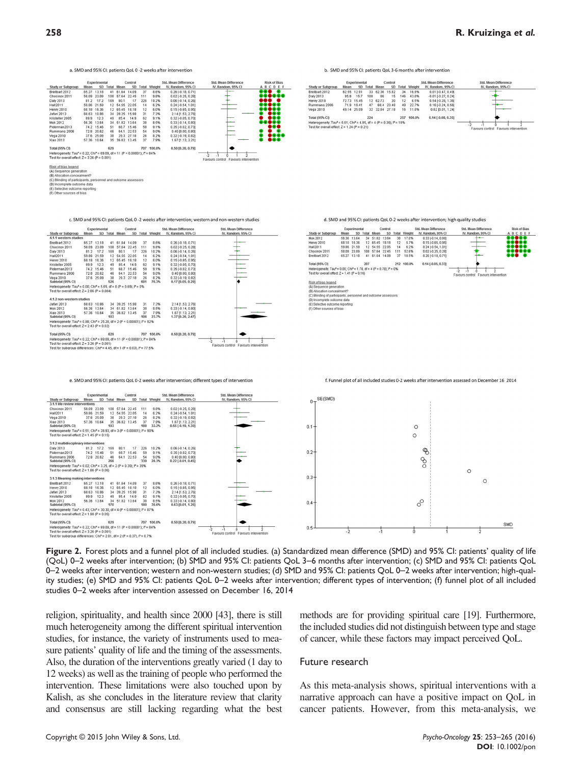#### 258 R. Kruizinga et al.

|  |  | . SMD and 95% CI: patients OoL 0 -2 weeks after intervention |  |
|--|--|--------------------------------------------------------------|--|

|                                                                                                     |       | Experimental |       |       | Control     |       |        | Std. Mean Difference    | <b>Std. Mean Difference</b>                | <b>Risk of Bias</b> |
|-----------------------------------------------------------------------------------------------------|-------|--------------|-------|-------|-------------|-------|--------|-------------------------|--------------------------------------------|---------------------|
| <b>Study or Subgroup</b>                                                                            | Mean  | SD           | Total | Mean  | SD          | Total | Weight | IV, Random, 95% CI      | IV, Random, 95% CI                         | ABCDEF              |
| Breitbart 2012                                                                                      | 65.27 | 13.18        | 41    | 61.64 | 14.09       | 37    | 8.6%   | 0.26 [-0.18, 0.71]      | ---                                        | 9O)                 |
| Chocinov 2011                                                                                       | 58.09 | 23.09        | 108   | 57.64 | 22.45       | 111   | 9.8%   | $0.02$ $[-0.25, 0.28]$  |                                            | naaa                |
| Daly 2013                                                                                           | 81.2  | 17.2         | 169   | 80.1  | 17          | 226   | 10.2%  | 0.06 [-0.14, 0.26]      |                                            |                     |
| Hall2011                                                                                            | 59.86 | 21.59        | 12    | 54.55 | 22.05       | 14    | 6.2%   | $0.24$ [-0.54, 1.01]    |                                            | 30 O O G            |
| <b>Henry 2010</b>                                                                                   | 68.18 | 16.36        | 12    | 65.45 | 18.18       | 12    | 6.0%   | $0.15$ [-0.65, 0.95]    |                                            | aaaa                |
| Jafari 2013                                                                                         | 68.63 | 10.86        | 34    | 39.25 | 15.98       | 31    | 7.3%   | 2.14 [1.53, 2.76]       |                                            | $+1+$               |
| Kristeller 2005                                                                                     | 89.9  | 12.3         | 49    | 85.4  | 149         | 62    | 9.1%   | 0.32 [-0.05, 0.70]      |                                            | $+10$               |
| Mok 2012                                                                                            | 56.36 | 13.64        | 34    | 51.82 | 13.64       | 38    | 8.5%   | $0.33$ [-0.14, 0.80]    |                                            | a a a<br>+1 1       |
| Piderman2013                                                                                        |       | 74.2 15.46   | 51    | 68.7  | 15.46       | 59    | 9.1%   | $0.35$ $6.02$ , $0.731$ |                                            | -100                |
| Rummans 2006                                                                                        | 72.8  | 20.62        | 46    | 64.1  | 22.53       | 54    | 9.0%   | $0.40$ [0.00, 0.80]     |                                            |                     |
| Vega 2010                                                                                           | 37.6  | 25.09        | 38    | 29.3  | 27.18       | 26    | 8.2%   | 0.32 [-0.19, 0.82]      |                                            | <b>DOGG</b>         |
| Xiao 2013                                                                                           | 57.36 | 10.64        | 35    |       | 36.82 13.45 | 37    | 7.9%   | 1.67 [1.13, 2.21]       |                                            | $+10-$              |
| <b>Total (95% CI)</b>                                                                               |       |              | 629   |       |             | 707   | 100.0% | $0.50$ [0.20, 0.79]     |                                            |                     |
| Heterogeneity: Tau <sup>2</sup> = 0.22; Chi <sup>2</sup> = 69.09, df = 11 (P < 0.00001); $P = 84\%$ |       |              |       |       |             |       |        |                         | $\cdot$                                    |                     |
| Test for overall effect: $Z = 3.26$ (P = 0.001)                                                     |       |              |       |       |             |       |        |                         | ×,<br>Favours control Favours intervention |                     |
|                                                                                                     |       |              |       |       |             |       |        |                         |                                            |                     |
| Risk of bias legend                                                                                 |       |              |       |       |             |       |        |                         |                                            |                     |
| (A) Sequence generation                                                                             |       |              |       |       |             |       |        |                         |                                            |                     |
| (B) Allocation concealment?                                                                         |       |              |       |       |             |       |        |                         |                                            |                     |
| (C) Blinding of participants, personnel and outcome assessors                                       |       |              |       |       |             |       |        |                         |                                            |                     |
| (D) Incomplete outcome data                                                                         |       |              |       |       |             |       |        |                         |                                            |                     |

| (D) incomplete outcome data     |  |
|---------------------------------|--|
| (E) Selective outcome reporting |  |

(F) Other sources of bias

| c. SMD and 95% CI: patients QoL 0 -2 weeks after intervention; western and non-western studies |  |
|------------------------------------------------------------------------------------------------|--|
|------------------------------------------------------------------------------------------------|--|

| Experimental                                                                                        |       |       | Control |               |             | Std. Mean Difference | Std. Mean Difference |                             |                                         |
|-----------------------------------------------------------------------------------------------------|-------|-------|---------|---------------|-------------|----------------------|----------------------|-----------------------------|-----------------------------------------|
| <b>Study or Subgroup</b>                                                                            | Mean  |       |         | SD Total Mean | SD          |                      | <b>Total Weight</b>  | IV. Random, 95% CI          | IV. Random, 95% CI                      |
| 4.1.1 western studies                                                                               |       |       |         |               |             |                      |                      |                             |                                         |
| Breitbart 2012                                                                                      | 65.27 | 13.18 | 41      | 61.64         | 14.09       | 37                   | 8.6%                 | 0.26 [-0.18, 0.71]          |                                         |
| Chocinov 2011                                                                                       | 58.09 | 23.09 | 108     | 57.64         | 22.45       | 111                  | 9.8%                 | $0.02$ $F0.25$ , $0.281$    |                                         |
| Daly 2013                                                                                           | 81.2  | 17.2  | 169     | 80.1          | 17          | 226                  | 10.2%                | $0.06$ $[-0.14, 0.26]$      |                                         |
| <b>Hall2011</b>                                                                                     | 59.86 | 21.59 | 12      | 54.55         | 22.05       | 14                   | 6.2%                 | $0.24$ $[-0.54, 1.01]$      |                                         |
| <b>Henry 2010</b>                                                                                   | 68.18 | 16.36 | 12      | 65.45         | 18.18       | 12                   | 6.0%                 | $0.15$ [ $-0.65$ , $0.95$ ] |                                         |
| Kristeller 2005                                                                                     | 89.9  | 12.3  | 49      | 85.4          | 14.9        | 62                   | 9.1%                 | 0.32 [-0.05, 0.70]          |                                         |
| Piderman2013                                                                                        | 74.2  | 15.46 | 51      | 68.7          | 15.46       | 59                   | 9.1%                 | 0.35 [-0.02, 0.73]          |                                         |
| Rummans 2006                                                                                        | 72.8  | 20.62 | 46      | 64.1          | 22.53       | 54                   | 9.0%                 | 0.40 [0.00, 0.80]           |                                         |
| Vega 2010                                                                                           | 37.6  | 25.09 | 38      | 29.3          | 27.18       | 26                   | 8.2%                 | 0.32 [-0.19, 0.82]          |                                         |
| Subtotal (95% CI)                                                                                   |       |       | 526     |               |             | 601                  | 76.3%                | $0.17$ [0.05, 0.29]         |                                         |
| Heterogeneity: Tau <sup>2</sup> = 0.00; Chi <sup>2</sup> = 5.65, df = 8 (P = 0.69); $P = 0%$        |       |       |         |               |             |                      |                      |                             |                                         |
| Test for overall effect $Z = 2.86$ (P = 0.004)                                                      |       |       |         |               |             |                      |                      |                             |                                         |
| 4.1.2 non-western studies                                                                           |       |       |         |               |             |                      |                      |                             |                                         |
| Jafari 2013                                                                                         | 68.63 | 10.86 | 34      |               | 39.25 15.98 | 31                   | 7.3%                 | 2.14 [1.53, 2.76]           |                                         |
| Mok 2012                                                                                            | 56.36 | 13.64 | 34      | 51.82         | 13.64       | 38                   | 8.5%                 | $0.33$ [ $-0.14$ , $0.80$ ] |                                         |
| Xiao 2013                                                                                           | 57.36 | 10.64 | 35      | 36.82         | 13.45       | 37                   | 7.9%                 | 1.67 [1.13, 2.21]           |                                         |
| Subtotal (95% CI)                                                                                   |       |       | 103     |               |             | 106                  | 23.7%                | 1.37 [0.26, 2.47]           |                                         |
| Heterogeneity: Tau <sup>2</sup> = 0.88: Chi <sup>2</sup> = 25.28. df = 2 (P < 0.00001): P = 92%     |       |       |         |               |             |                      |                      |                             |                                         |
| Test for overall effect $Z = 2.43$ (P = 0.02)                                                       |       |       |         |               |             |                      |                      |                             |                                         |
| <b>Total (95% CI)</b>                                                                               |       |       | 629     |               |             |                      | 707 100.0%           | 0.50 [0.20, 0.79]           |                                         |
| Heterogeneity: Tau <sup>2</sup> = 0.22; Chi <sup>2</sup> = 69.09, df = 11 (P < 0.00001); $P = 84\%$ |       |       |         |               |             |                      |                      |                             |                                         |
| Test for overall effect $Z = 3.26$ (P = 0.001)                                                      |       |       |         |               |             |                      |                      |                             | Equation control. Equation intonvention |

 $Test for such a function  $\mathcal{L} = 3.26$  ( $\mathcal{L} = 0.001$ )\n\nTest for subgroup differences:  $Chi^2 = 4.45$ .  $df = 1$  ( $P = 0.03$ ).  $l^2 = 77.5\%$$ 

e. SMD and 95% CI: patients QoL 0-2 weeks after intervention; different types of intervention

b. SMD and 95% CI: patients QoL 3-6 months after intervention

|                                                                                             | Experimental |             | Control |                |            |     | <b>Std. Mean Difference</b> | <b>Std. Mean Difference</b> |                    |
|---------------------------------------------------------------------------------------------|--------------|-------------|---------|----------------|------------|-----|-----------------------------|-----------------------------|--------------------|
| <b>Study or Subgroup</b>                                                                    | Mean         | SD.         | Total   | Mean           | SD         |     | <b>Total Weight</b>         | IV, Random, 95% CI          | IV, Random, 95% CI |
| Breitbart 2012                                                                              |              | 62.55 12.91 |         | 33 62.36 15.82 |            | 34  | 16.9%                       | $0.01$ $[-0.47, 0.49]$      |                    |
| Daly 2013                                                                                   | 85.8         | 15.7        | 100     | 86             | 15         | 146 | 43.0%                       | $-0.01$ $[-0.27, 0.24]$     |                    |
| <b>Henry 2010</b>                                                                           |              | 72.73 15.45 |         | 12 62.73       | 20         | 12  | 6.5%                        | 0.54 [-0.28, 1.36]          |                    |
| Rummans 2006                                                                                |              | 71.9 19.41  | 47      |                | 68.4 23.48 | 49  | 22.7%                       | $0.16$ $6-0.24$ , $0.561$   |                    |
| Vega 2010                                                                                   |              | 49.14 25.09 |         | 32 32.84 27.18 |            | 16  | 11.0%                       | 0.62 (0.01.1.24)            |                    |
| <b>Total (95% CI)</b>                                                                       |              |             | 224     |                |            | 257 | 100.0%                      | $0.14$ [-0.08, 0.35]        |                    |
| Heterogeneity: Tau <sup>2</sup> = 0.01; Chi <sup>2</sup> = 4.85, df = 4 (P = 0.30); P = 18% |              |             |         |                |            |     |                             |                             |                    |
| Test for overall effect: $7 = 1.24$ (P = 0.21)                                              |              |             |         |                |            |     |                             |                             |                    |

d. CMD and OER CL patients Oal 0.3 weeks after int

|                                                                                                         |       | Experimental |       |             | Control |       |        | <b>Std. Mean Difference</b> | <b>Std. Mean Difference</b>          | <b>Risk of Bias</b> |
|---------------------------------------------------------------------------------------------------------|-------|--------------|-------|-------------|---------|-------|--------|-----------------------------|--------------------------------------|---------------------|
| <b>Study or Subgroup</b>                                                                                | Mean  | SD           | Total | Mean        | SD      | Total | Weight | IV. Random, 95% CI          | IV, Random, 95% CI                   | ABCDEI              |
| tok 2012                                                                                                | 56.36 | 13.64        | 34    | 51.82       | 13.64   | 38    | 17.0%  | $0.33 + 0.14, 0.80$         |                                      |                     |
| lenry 2010                                                                                              | 68.18 | 16.36        |       | 12 65.45    | 18.18   | 12    | 5.7%   | $0.15$ [ $-0.65$ , $0.95$ ] |                                      | <b></b>             |
| dall2011                                                                                                |       | 59.86 21.59  |       | 12 54.55    | 22.05   | 14    | 6.2%   | $0.24$ [ $-0.54$ , 1.01]    |                                      | 9000O               |
| hocinov <sub>2011</sub>                                                                                 |       | 58.09 23.09  | 108   | 57.64       | 22.45   | 111   | 52.6%  | $0.02$ [ $-0.25$ , $0.28$ ] |                                      | 9996                |
| creitbart 2012                                                                                          |       | 65.27 13.18  | 41    | 61.64 14.09 |         | 37    | 18.5%  | $0.26$ [-0.18, 0.71]        |                                      | 88 S                |
| otal (95% CI)                                                                                           |       |              | 207   |             |         | 212   | 100.0% | $0.14$ [ $-0.05$ , $0.33$ ] |                                      |                     |
| leterogeneity: Tau <sup>2</sup> = 0.00; Chi <sup>2</sup> = 1.78, df = 4 (P = 0.78); l <sup>2</sup> = 0% |       |              |       |             |         |       |        |                             | ۰.                                   |                     |
| est for overall effect: $Z = 1.41$ (P = 0.16)                                                           |       |              |       |             |         |       |        |                             | Favours control Favours intervention |                     |
| lisk of bias legend                                                                                     |       |              |       |             |         |       |        |                             |                                      |                     |
| A) Sequence generation                                                                                  |       |              |       |             |         |       |        |                             |                                      |                     |
| B) Allocation concealment?                                                                              |       |              |       |             |         |       |        |                             |                                      |                     |
| C) Blinding of participants, personnel and outcome assessors                                            |       |              |       |             |         |       |        |                             |                                      |                     |
| D) Incomplete outcome data                                                                              |       |              |       |             |         |       |        |                             |                                      |                     |
| E) Selective outcome reporting                                                                          |       |              |       |             |         |       |        |                             |                                      |                     |
| F) Other sources of bias                                                                                |       |              |       |             |         |       |        |                             |                                      |                     |

f. Funnel plot of all included studies 0-2 weeks after intervention assessed on December 16 2014



Figure 2. Forest plots and a funnel plot of all included studies. (a) Standardized mean difference (SMD) and 95% CI: patients' quality of life (QoL) 0–2 weeks after intervention; (b) SMD and 95% CI: patients QoL 3–6 months after intervention; (c) SMD and 95% CI: patients QoL 0–2 weeks after intervention; western and non-western studies; (d) SMD and 95% CI: patients QoL 0–2 weeks after intervention; high-quality studies; (e) SMD and 95% CI: patients QoL 0–2 weeks after intervention; different types of intervention; (f) funnel plot of all included studies 0–2 weeks after intervention assessed on December 16, 2014

religion, spirituality, and health since 2000 [43], there is still much heterogeneity among the different spiritual intervention studies, for instance, the variety of instruments used to measure patients' quality of life and the timing of the assessments. Also, the duration of the interventions greatly varied (1 day to 12 weeks) as well as the training of people who performed the intervention. These limitations were also touched upon by Kalish, as she concludes in the literature review that clarity and consensus are still lacking regarding what the best methods are for providing spiritual care [19]. Furthermore, the included studies did not distinguish between type and stage of cancer, while these factors may impact perceived QoL.

#### Future research

As this meta-analysis shows, spiritual interventions with a narrative approach can have a positive impact on QoL in cancer patients. However, from this meta-analysis, we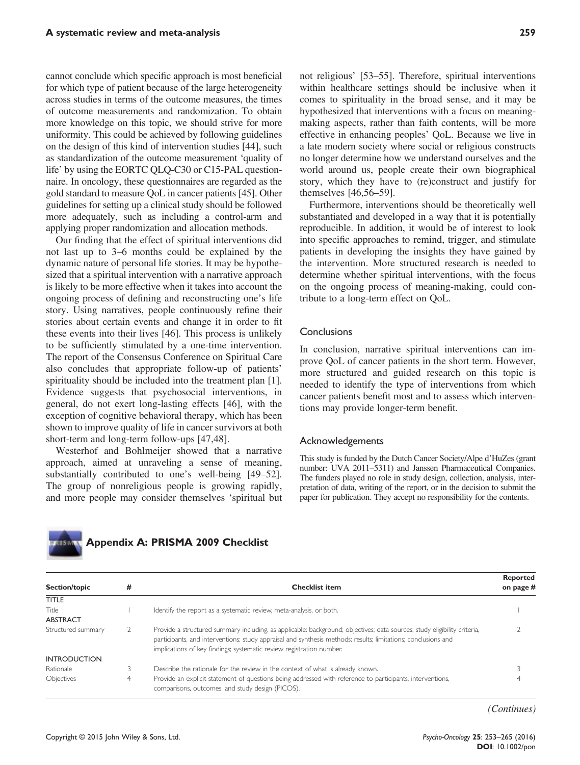cannot conclude which specific approach is most beneficial for which type of patient because of the large heterogeneity across studies in terms of the outcome measures, the times of outcome measurements and randomization. To obtain more knowledge on this topic, we should strive for more uniformity. This could be achieved by following guidelines on the design of this kind of intervention studies [44], such as standardization of the outcome measurement 'quality of life' by using the EORTC QLQ-C30 or C15-PAL questionnaire. In oncology, these questionnaires are regarded as the gold standard to measure QoL in cancer patients [45]. Other guidelines for setting up a clinical study should be followed more adequately, such as including a control-arm and applying proper randomization and allocation methods.

Our finding that the effect of spiritual interventions did not last up to 3–6 months could be explained by the dynamic nature of personal life stories. It may be hypothesized that a spiritual intervention with a narrative approach is likely to be more effective when it takes into account the ongoing process of defining and reconstructing one's life story. Using narratives, people continuously refine their stories about certain events and change it in order to fit these events into their lives [46]. This process is unlikely to be sufficiently stimulated by a one-time intervention. The report of the Consensus Conference on Spiritual Care also concludes that appropriate follow-up of patients' spirituality should be included into the treatment plan [1]. Evidence suggests that psychosocial interventions, in general, do not exert long-lasting effects [46], with the exception of cognitive behavioral therapy, which has been shown to improve quality of life in cancer survivors at both short-term and long-term follow-ups [47,48].

Westerhof and Bohlmeijer showed that a narrative approach, aimed at unraveling a sense of meaning, substantially contributed to one's well-being [49–52]. The group of nonreligious people is growing rapidly, and more people may consider themselves 'spiritual but not religious' [53–55]. Therefore, spiritual interventions within healthcare settings should be inclusive when it comes to spirituality in the broad sense, and it may be hypothesized that interventions with a focus on meaningmaking aspects, rather than faith contents, will be more effective in enhancing peoples' QoL. Because we live in a late modern society where social or religious constructs no longer determine how we understand ourselves and the world around us, people create their own biographical story, which they have to (re)construct and justify for themselves [46,56–59].

Furthermore, interventions should be theoretically well substantiated and developed in a way that it is potentially reproducible. In addition, it would be of interest to look into specific approaches to remind, trigger, and stimulate patients in developing the insights they have gained by the intervention. More structured research is needed to determine whether spiritual interventions, with the focus on the ongoing process of meaning-making, could contribute to a long-term effect on QoL.

#### **Conclusions**

In conclusion, narrative spiritual interventions can improve QoL of cancer patients in the short term. However, more structured and guided research on this topic is needed to identify the type of interventions from which cancer patients benefit most and to assess which interventions may provide longer-term benefit.

#### Acknowledgements

This study is funded by the Dutch Cancer Society/Alpe d'HuZes (grant number: UVA 2011–5311) and Janssen Pharmaceutical Companies. The funders played no role in study design, collection, analysis, interpretation of data, writing of the report, or in the decision to submit the paper for publication. They accept no responsibility for the contents.



# Appendix A: PRISMA 2009 Checklist

| Section/topic       | # | <b>Checklist item</b>                                                                                                                                                                                                                                                                                             | <b>Reported</b><br>on page # |  |  |  |
|---------------------|---|-------------------------------------------------------------------------------------------------------------------------------------------------------------------------------------------------------------------------------------------------------------------------------------------------------------------|------------------------------|--|--|--|
| <b>TITLE</b>        |   |                                                                                                                                                                                                                                                                                                                   |                              |  |  |  |
|                     |   |                                                                                                                                                                                                                                                                                                                   |                              |  |  |  |
| Title               |   | Identify the report as a systematic review, meta-analysis, or both.                                                                                                                                                                                                                                               |                              |  |  |  |
| <b>ABSTRACT</b>     |   |                                                                                                                                                                                                                                                                                                                   |                              |  |  |  |
| Structured summary  |   | Provide a structured summary including, as applicable: background; objectives; data sources; study eligibility criteria,<br>participants, and interventions; study appraisal and synthesis methods; results; limitations; conclusions and<br>implications of key findings; systematic review registration number. |                              |  |  |  |
| <b>INTRODUCTION</b> |   |                                                                                                                                                                                                                                                                                                                   |                              |  |  |  |
| Rationale           |   | Describe the rationale for the review in the context of what is already known.                                                                                                                                                                                                                                    |                              |  |  |  |
| Objectives          | 4 | Provide an explicit statement of questions being addressed with reference to participants, interventions,<br>comparisons, outcomes, and study design (PICOS).                                                                                                                                                     |                              |  |  |  |

(Continues)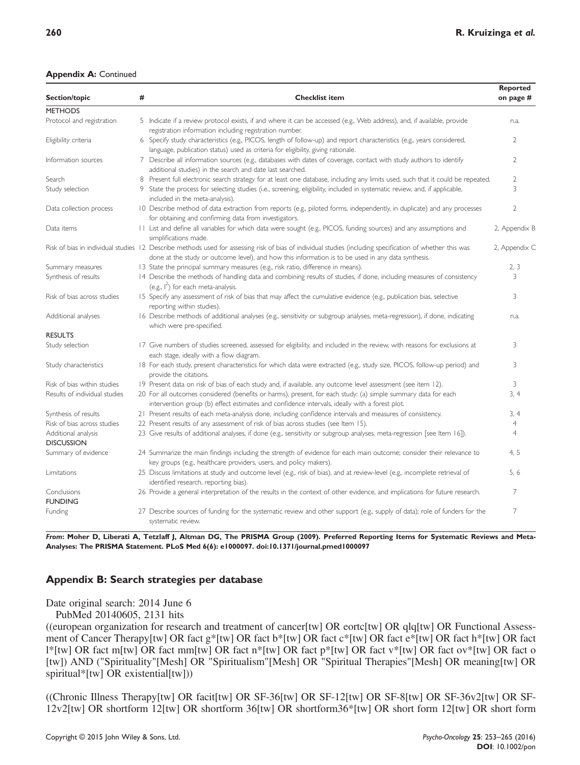### Appendix A: Continued

|                                          |   |                                                                                                                                                                                                                                                                 | <b>Reported</b> |
|------------------------------------------|---|-----------------------------------------------------------------------------------------------------------------------------------------------------------------------------------------------------------------------------------------------------------------|-----------------|
| Section/topic                            | # | <b>Checklist item</b>                                                                                                                                                                                                                                           | on page #       |
| <b>METHODS</b>                           |   |                                                                                                                                                                                                                                                                 |                 |
| Protocol and registration                |   | 5 Indicate if a review protocol exists, if and where it can be accessed (e.g., Web address), and, if available, provide<br>registration information including registration number.                                                                              | n.a.            |
| Eligibility criteria                     |   | 6 Specify study characteristics (e.g., PICOS, length of follow-up) and report characteristics (e.g., years considered,<br>language, publication status) used as criteria for eligibility, giving rationale.                                                     | 2               |
| Information sources                      |   | 7 Describe all information sources (e.g., databases with dates of coverage, contact with study authors to identify<br>additional studies) in the search and date last searched.                                                                                 | $\overline{2}$  |
| Search                                   |   | 8 Present full electronic search strategy for at least one database, including any limits used, such that it could be repeated.                                                                                                                                 | 2               |
| Study selection                          |   | 9 State the process for selecting studies (i.e., screening, eligibility, included in systematic review, and, if applicable,<br>included in the meta-analysis).                                                                                                  | 3               |
| Data collection process                  |   | 10 Describe method of data extraction from reports (e.g., piloted forms, independently, in duplicate) and any processes<br>for obtaining and confirming data from investigators.                                                                                | $\overline{2}$  |
| Data items                               |   | 11 List and define all variables for which data were sought (e.g., PICOS, funding sources) and any assumptions and<br>simplifications made.                                                                                                                     | 2, Appendix B   |
|                                          |   | Risk of bias in individual studies 12 Describe methods used for assessing risk of bias of individual studies (including specification of whether this was<br>done at the study or outcome level), and how this information is to be used in any data synthesis. | 2, Appendix C   |
| Summary measures                         |   | 13 State the principal summary measures (e.g., risk ratio, difference in means).                                                                                                                                                                                | 2.3             |
| Synthesis of results                     |   | 14 Describe the methods of handling data and combining results of studies, if done, including measures of consistency<br>$(e.g., I')$ for each meta-analysis.                                                                                                   | 3               |
| Risk of bias across studies              |   | 15 Specify any assessment of risk of bias that may affect the cumulative evidence (e.g., publication bias, selective<br>reporting within studies).                                                                                                              | 3               |
| Additional analyses                      |   | 16 Describe methods of additional analyses (e.g., sensitivity or subgroup analyses, meta-regression), if done, indicating<br>which were pre-specified.                                                                                                          | n.a.            |
| <b>RESULTS</b>                           |   |                                                                                                                                                                                                                                                                 |                 |
| Study selection                          |   | 17 Give numbers of studies screened, assessed for eligibility, and included in the review, with reasons for exclusions at<br>each stage, ideally with a flow diagram.                                                                                           | 3               |
| Study characteristics                    |   | 18 For each study, present characteristics for which data were extracted (e.g., study size, PICOS, follow-up period) and<br>provide the citations.                                                                                                              | 3               |
| Risk of bias within studies              |   | 19 Present data on risk of bias of each study and, if available, any outcome level assessment (see item 12).                                                                                                                                                    | 3               |
| Results of individual studies            |   | 20 For all outcomes considered (benefits or harms), present, for each study: (a) simple summary data for each<br>intervention group (b) effect estimates and confidence intervals, ideally with a forest plot.                                                  | 3.4             |
| Synthesis of results                     |   | 21 Present results of each meta-analysis done, including confidence intervals and measures of consistency.                                                                                                                                                      | 3, 4            |
| Risk of bias across studies              |   | 22 Present results of any assessment of risk of bias across studies (see Item 15).                                                                                                                                                                              | $\overline{4}$  |
| Additional analysis<br><b>DISCUSSION</b> |   | 23 Give results of additional analyses, if done (e.g., sensitivity or subgroup analyses, meta-regression [see Item 16]).                                                                                                                                        | $\overline{4}$  |
| Summary of evidence                      |   | 24 Summarize the main findings including the strength of evidence for each main outcome; consider their relevance to<br>key groups (e.g., healthcare providers, users, and policy makers).                                                                      | 4.5             |
| Limitations                              |   | 25 Discuss limitations at study and outcome level (e.g., risk of bias), and at review-level (e.g., incomplete retrieval of<br>identified research, reporting bias).                                                                                             | 5.6             |
| Conclusions<br><b>FUNDING</b>            |   | 26 Provide a general interpretation of the results in the context of other evidence, and implications for future research.                                                                                                                                      | $\overline{7}$  |
| Funding                                  |   | 27 Describe sources of funding for the systematic review and other support (e.g., supply of data); role of funders for the<br>systematic review.                                                                                                                | $\overline{7}$  |

From: Moher D, Liberati A, Tetzlaff J, Altman DG, The PRISMA Group (2009). Preferred Reporting Items for Systematic Reviews and Meta-Analyses: The PRISMA Statement. PLoS Med 6(6): e1000097. doi:10.1371/journal.pmed1000097

# Appendix B: Search strategies per database

Date original search: 2014 June 6

PubMed 20140605, 2131 hits

((european organization for research and treatment of cancer[tw] OR eortc[tw] OR qlq[tw] OR Functional Assessment of Cancer Therapy[tw] OR fact g\*[tw] OR fact b\*[tw] OR fact c\*[tw] OR fact e\*[tw] OR fact h\*[tw] OR fact l\*[tw] OR fact m[tw] OR fact mm[tw] OR fact n\*[tw] OR fact p\*[tw] OR fact v\*[tw] OR fact ov\*[tw] OR fact o [tw]) AND ("Spirituality"[Mesh] OR "Spiritualism"[Mesh] OR "Spiritual Therapies"[Mesh] OR meaning[tw] OR spiritual\*[tw] OR existential[tw]))

((Chronic Illness Therapy[tw] OR facit[tw] OR SF-36[tw] OR SF-12[tw] OR SF-8[tw] OR SF-36v2[tw] OR SF-12v2[tw] OR shortform 12[tw] OR shortform 36[tw] OR shortform36\*[tw] OR short form 12[tw] OR short form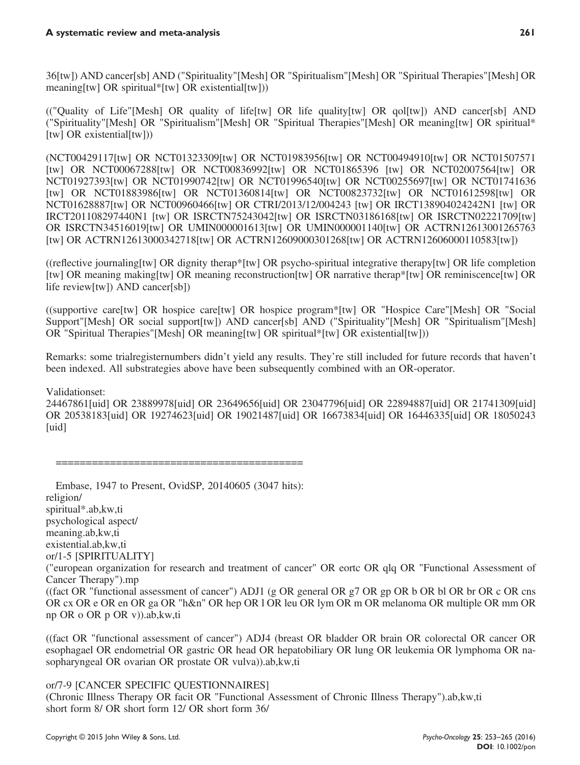36[tw]) AND cancer[sb] AND ("Spirituality"[Mesh] OR "Spiritualism"[Mesh] OR "Spiritual Therapies"[Mesh] OR meaning[tw] OR spiritual\*[tw] OR existential[tw]))

(("Quality of Life"[Mesh] OR quality of life[tw] OR life quality[tw] OR qol[tw]) AND cancer[sb] AND ("Spirituality"[Mesh] OR "Spiritualism"[Mesh] OR "Spiritual Therapies"[Mesh] OR meaning[tw] OR spiritual\* [tw] OR existential[tw]))

(NCT00429117[tw] OR NCT01323309[tw] OR NCT01983956[tw] OR NCT00494910[tw] OR NCT01507571 [tw] OR NCT00067288[tw] OR NCT00836992[tw] OR NCT01865396 [tw] OR NCT02007564[tw] OR NCT01927393[tw] OR NCT01990742[tw] OR NCT01996540[tw] OR NCT00255697[tw] OR NCT01741636 [tw] OR NCT01883986[tw] OR NCT01360814[tw] OR NCT00823732[tw] OR NCT01612598[tw] OR NCT01628887[tw] OR NCT00960466[tw] OR CTRI/2013/12/004243 [tw] OR IRCT138904024242N1 [tw] OR IRCT201108297440N1 [tw] OR ISRCTN75243042[tw] OR ISRCTN03186168[tw] OR ISRCTN02221709[tw] OR ISRCTN34516019[tw] OR UMIN000001613[tw] OR UMIN000001140[tw] OR ACTRN12613001265763 [tw] OR ACTRN12613000342718[tw] OR ACTRN12609000301268[tw] OR ACTRN12606000110583[tw])

((reflective journaling[tw] OR dignity therap\*[tw] OR psycho-spiritual integrative therapy[tw] OR life completion [tw] OR meaning making[tw] OR meaning reconstruction[tw] OR narrative therap\*[tw] OR reminiscence[tw] OR life review[tw]) AND cancer[sb])

((supportive care[tw] OR hospice care[tw] OR hospice program\*[tw] OR "Hospice Care"[Mesh] OR "Social Support"[Mesh] OR social support[tw]) AND cancer[sb] AND ("Spirituality"[Mesh] OR "Spiritualism"[Mesh] OR "Spiritual Therapies"[Mesh] OR meaning[tw] OR spiritual\*[tw] OR existential[tw]))

Remarks: some trialregisternumbers didn't yield any results. They're still included for future records that haven't been indexed. All substrategies above have been subsequently combined with an OR-operator.

Validationset: 24467861[uid] OR 23889978[uid] OR 23649656[uid] OR 23047796[uid] OR 22894887[uid] OR 21741309[uid] OR 20538183[uid] OR 19274623[uid] OR 19021487[uid] OR 16673834[uid] OR 16446335[uid] OR 18050243 [uid]

Embase, 1947 to Present, OvidSP, 20140605 (3047 hits): religion/ spiritual\*.ab,kw,ti psychological aspect/ meaning.ab,kw,ti existential.ab,kw,ti or/1-5 [SPIRITUALITY] ("european organization for research and treatment of cancer" OR eortc OR qlq OR "Functional Assessment of Cancer Therapy").mp ((fact OR "functional assessment of cancer") ADJ1 (g OR general OR g7 OR gp OR b OR bl OR br OR c OR cns) OR cx OR e OR en OR ga OR "h&n" OR hep OR l OR leu OR lym OR m OR melanoma OR multiple OR mm OR np OR o OR p OR v)).ab,kw,ti

((fact OR "functional assessment of cancer") ADJ4 (breast OR bladder OR brain OR colorectal OR cancer OR esophagael OR endometrial OR gastric OR head OR hepatobiliary OR lung OR leukemia OR lymphoma OR nasopharyngeal OR ovarian OR prostate OR vulva)).ab,kw,ti

or/7-9 [CANCER SPECIFIC QUESTIONNAIRES] (Chronic Illness Therapy OR facit OR "Functional Assessment of Chronic Illness Therapy").ab,kw,ti short form 8/ OR short form 12/ OR short form 36/

=========================================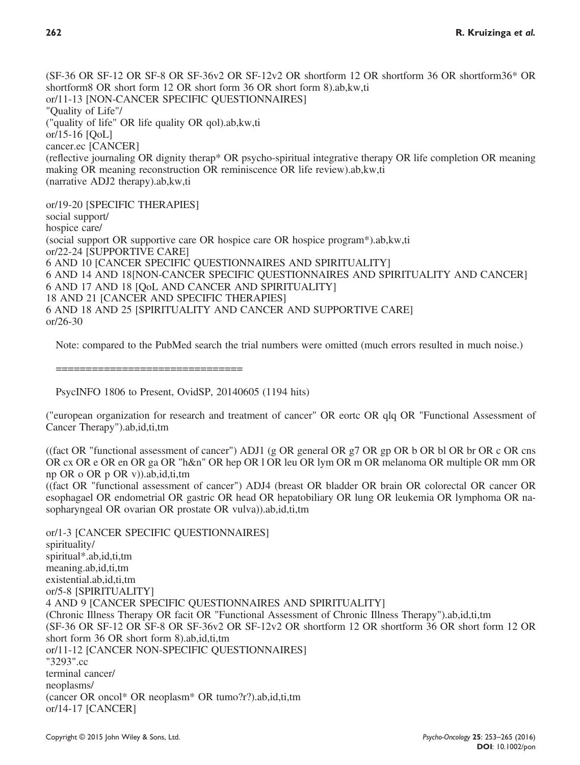(SF-36 OR SF-12 OR SF-8 OR SF-36v2 OR SF-12v2 OR shortform 12 OR shortform 36 OR shortform36\* OR shortform8 OR short form 12 OR short form 36 OR short form 8).ab,kw,ti or/11-13 [NON-CANCER SPECIFIC QUESTIONNAIRES] "Quality of Life"/ ("quality of life" OR life quality OR qol).ab,kw,ti or/15-16 [QoL] cancer.ec [CANCER] (reflective journaling OR dignity therap\* OR psycho-spiritual integrative therapy OR life completion OR meaning making OR meaning reconstruction OR reminiscence OR life review).ab,kw,ti (narrative ADJ2 therapy).ab,kw,ti

or/19-20 [SPECIFIC THERAPIES] social support/ hospice care/ (social support OR supportive care OR hospice care OR hospice program\*).ab,kw,ti or/22-24 [SUPPORTIVE CARE] 6 AND 10 [CANCER SPECIFIC QUESTIONNAIRES AND SPIRITUALITY] 6 AND 14 AND 18[NON-CANCER SPECIFIC QUESTIONNAIRES AND SPIRITUALITY AND CANCER] 6 AND 17 AND 18 [QoL AND CANCER AND SPIRITUALITY] 18 AND 21 [CANCER AND SPECIFIC THERAPIES] 6 AND 18 AND 25 [SPIRITUALITY AND CANCER AND SUPPORTIVE CARE] or/26-30

Note: compared to the PubMed search the trial numbers were omitted (much errors resulted in much noise.)

==================================

PsycINFO 1806 to Present, OvidSP, 20140605 (1194 hits)

("european organization for research and treatment of cancer" OR eortc OR qlq OR "Functional Assessment of Cancer Therapy").ab,id,ti,tm

((fact OR "functional assessment of cancer") ADJ1 (g OR general OR g7 OR gp OR b OR bl OR br OR c OR cns) OR cx OR e OR en OR ga OR "h&n" OR hep OR l OR leu OR lym OR m OR melanoma OR multiple OR mm OR np OR o OR p OR v)).ab,id,ti,tm

((fact OR "functional assessment of cancer") ADJ4 (breast OR bladder OR brain OR colorectal OR cancer OR esophagael OR endometrial OR gastric OR head OR hepatobiliary OR lung OR leukemia OR lymphoma OR nasopharyngeal OR ovarian OR prostate OR vulva)).ab,id,ti,tm

or/1-3 [CANCER SPECIFIC QUESTIONNAIRES] spirituality/ spiritual\*.ab,id,ti,tm meaning.ab,id,ti,tm existential.ab,id,ti,tm or/5-8 [SPIRITUALITY] 4 AND 9 [CANCER SPECIFIC QUESTIONNAIRES AND SPIRITUALITY] (Chronic Illness Therapy OR facit OR "Functional Assessment of Chronic Illness Therapy").ab,id,ti,tm (SF-36 OR SF-12 OR SF-8 OR SF-36v2 OR SF-12v2 OR shortform 12 OR shortform 36 OR short form 12 OR short form 36 OR short form 8).ab,id,ti,tm or/11-12 [CANCER NON-SPECIFIC QUESTIONNAIRES] "3293".cc terminal cancer/ neoplasms/ (cancer OR oncol\* OR neoplasm\* OR tumo?r?).ab,id,ti,tm or/14-17 [CANCER]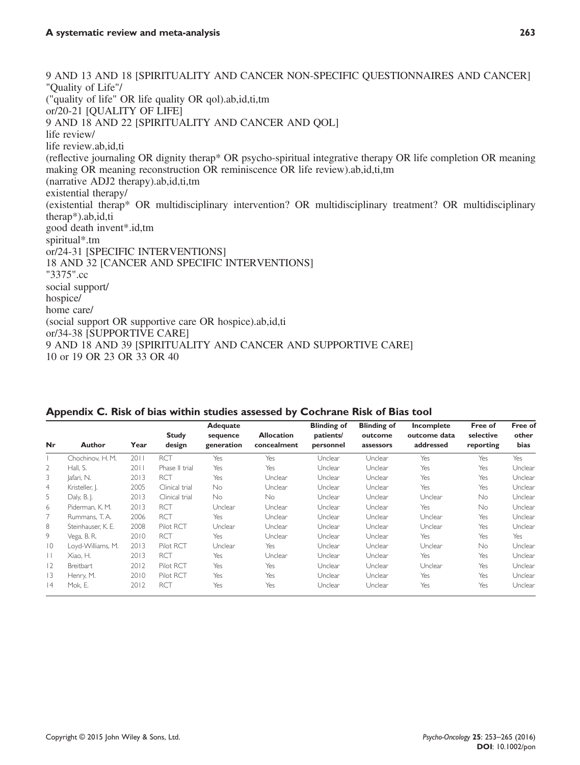9 AND 13 AND 18 [SPIRITUALITY AND CANCER NON-SPECIFIC QUESTIONNAIRES AND CANCER] "Quality of Life"/ ("quality of life" OR life quality OR qol).ab,id,ti,tm or/20-21 [QUALITY OF LIFE] 9 AND 18 AND 22 [SPIRITUALITY AND CANCER AND QOL] life review/ life review.ab,id,ti (reflective journaling OR dignity therap\* OR psycho-spiritual integrative therapy OR life completion OR meaning making OR meaning reconstruction OR reminiscence OR life review).ab,id,ti,tm (narrative ADJ2 therapy).ab,id,ti,tm existential therapy/ (existential therap\* OR multidisciplinary intervention? OR multidisciplinary treatment? OR multidisciplinary therap\*).ab,id,ti good death invent\*.id,tm spiritual\*.tm or/24-31 [SPECIFIC INTERVENTIONS] 18 AND 32 [CANCER AND SPECIFIC INTERVENTIONS] "3375".cc social support/ hospice/ home care/ (social support OR supportive care OR hospice).ab,id,ti or/34-38 [SUPPORTIVE CARE] 9 AND 18 AND 39 [SPIRITUALITY AND CANCER AND SUPPORTIVE CARE] 10 or 19 OR 23 OR 33 OR 40

| . .            |                    |      |                        | <b>Adequate</b>        |                                  | <b>Blinding of</b>     | <b>Blinding of</b>   | Incomplete                | Free of                | Free of        |
|----------------|--------------------|------|------------------------|------------------------|----------------------------------|------------------------|----------------------|---------------------------|------------------------|----------------|
| <b>Nr</b>      | <b>Author</b>      | Year | <b>Study</b><br>design | sequence<br>generation | <b>Allocation</b><br>concealment | patients/<br>personnel | outcome<br>assessors | outcome data<br>addressed | selective<br>reporting | other<br>bias  |
|                | Chochinov. H. M.   | 2011 | <b>RCT</b>             | Yes                    | Yes                              | Unclear                | Unclear              | Yes                       | Yes                    | Yes            |
| $\mathbf{2}$   | Hall, S.           | 2011 | Phase II trial         | Yes                    | Yes                              | Unclear                | Unclear              | Yes                       | Yes                    | Unclear        |
| 3              | Jafari, N.         | 2013 | <b>RCT</b>             | Yes                    | Unclear                          | Unclear                | Unclear              | Yes                       | Yes                    | Unclear        |
| $\overline{4}$ | Kristeller, J.     | 2005 | Clinical trial         | No                     | Unclear                          | Unclear                | Unclear              | Yes                       | Yes                    | Unclear        |
| 5              | Daly, B. J.        | 2013 | Clinical trial         | No.                    | No                               | Unclear                | Unclear              | Unclear                   | No                     | Unclear        |
| 6              | Piderman, K. M.    | 2013 | <b>RCT</b>             | Unclear                | Unclear                          | Unclear                | Unclear              | Yes                       | No.                    | Unclear        |
|                | Rummans, T.A.      | 2006 | <b>RCT</b>             | Yes                    | Unclear                          | Unclear                | Unclear              | Unclear                   | Yes                    | Unclear        |
| 8              | Steinhauser, K. E. | 2008 | Pilot RCT              | Unclear                | Unclear                          | Unclear                | Unclear              | Unclear                   | Yes                    | Unclear        |
| 9              | Vega, B.R.         | 2010 | <b>RCT</b>             | Yes                    | Unclear                          | Unclear                | Unclear              | Yes                       | Yes                    | Yes            |
| $\overline{0}$ | Loyd-Williams, M.  | 2013 | Pilot RCT              | Unclear                | Yes                              | Unclear                | Unclear              | Unclear                   | <b>No</b>              | <b>Unclear</b> |
| $\Box$         | Xiao, H.           | 2013 | <b>RCT</b>             | Yes                    | Unclear                          | Unclear                | Unclear              | Yes                       | Yes                    | Unclear        |
| $\overline{2}$ | Breitbart          | 2012 | Pilot RCT              | Yes                    | Yes                              | Unclear                | Unclear              | Unclear                   | Yes                    | Unclear        |
| 3              | Henry, M.          | 2010 | Pilot RCT              | Yes                    | Yes                              | Unclear                | Unclear              | Yes                       | Yes                    | Unclear        |
| 4              | Mok, E.            | 2012 | <b>RCT</b>             | Yes                    | Yes                              | Unclear                | Unclear              | Yes                       | Yes                    | Unclear        |

|  |  |  |  |  | Appendix C. Risk of bias within studies assessed by Cochrane Risk of Bias tool |
|--|--|--|--|--|--------------------------------------------------------------------------------|
|--|--|--|--|--|--------------------------------------------------------------------------------|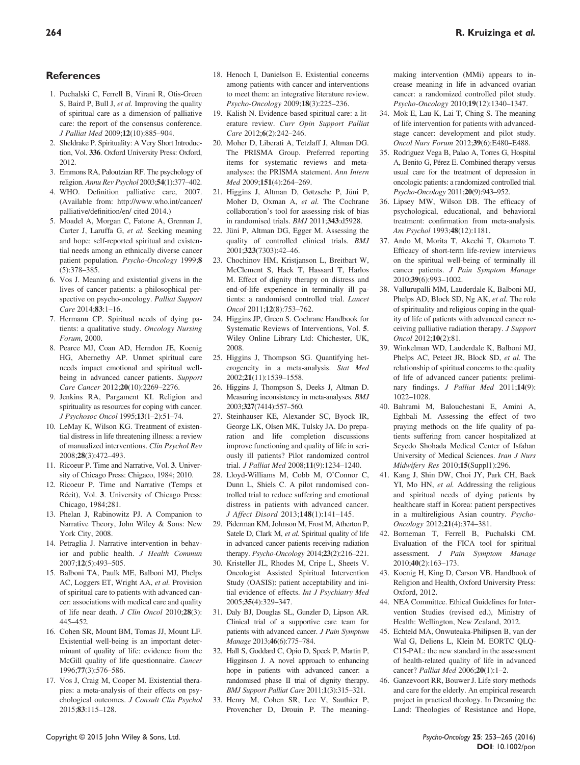## **References**

- 1. Puchalski C, Ferrell B, Virani R, Otis-Green S, Baird P, Bull J, et al. Improving the quality of spiritual care as a dimension of palliative care: the report of the consensus conference. J Palliat Med 2009;12(10):885–904.
- 2. Sheldrake P. Spirituality: A Very Short Introduction, Vol. 336. Oxford University Press: Oxford, 2012.
- 3. Emmons RA, Paloutzian RF. The psychology of religion. Annu Rev Psychol 2003;54(1):377–402.
- 4. WHO. Definition palliative care, 2007. (Available from: [http://www.who.int/cancer/](http://www.who.int/cancer/palliative/definition/en/) [palliative/de](http://www.who.int/cancer/palliative/definition/en/)finition/en/ cited 2014.)
- 5. Moadel A, Morgan C, Fatone A, Grennan J, Carter J, Laruffa G, et al. Seeking meaning and hope: self-reported spiritual and existential needs among an ethnically diverse cancer patient population. Psycho-Oncology 1999;8 (5):378–385.
- 6. Vos J. Meaning and existential givens in the lives of cancer patients: a philosophical perspective on psycho-oncology. Palliat Support Care 2014;83:1–16.
- 7. Hermann CP. Spiritual needs of dying patients: a qualitative study. Oncology Nursing Forum, 2000.
- 8. Pearce MJ, Coan AD, Herndon JE, Koenig HG, Abernethy AP. Unmet spiritual care needs impact emotional and spiritual wellbeing in advanced cancer patients. Support Care Cancer 2012;20(10):2269–2276.
- 9. Jenkins RA, Pargament KI. Religion and spirituality as resources for coping with cancer. J Psychosoc Oncol 1995;13(1–2):51–74.
- 10. LeMay K, Wilson KG. Treatment of existential distress in life threatening illness: a review of manualized interventions. Clin Psychol Rev 2008;28(3):472–493.
- 11. Ricoeur P. Time and Narrative, Vol. 3. University of Chicago Press: Chigaco, 1984; 2010.
- 12. Ricoeur P. Time and Narrative (Temps et Récit), Vol. 3. University of Chicago Press: Chicago, 1984;281.
- 13. Phelan J, Rabinowitz PJ. A Companion to Narrative Theory, John Wiley & Sons: New York City, 2008.
- 14. Petraglia J. Narrative intervention in behavior and public health. J Health Commun 2007;12(5):493–505.
- 15. Balboni TA, Paulk ME, Balboni MJ, Phelps AC, Loggers ET, Wright AA, et al. Provision of spiritual care to patients with advanced cancer: associations with medical care and quality of life near death. J Clin Oncol 2010;28(3): 445–452.
- 16. Cohen SR, Mount BM, Tomas JJ, Mount LF. Existential well-being is an important determinant of quality of life: evidence from the McGill quality of life questionnaire. Cancer 1996;77(3):576–586.
- 17. Vos J, Craig M, Cooper M. Existential therapies: a meta-analysis of their effects on psychological outcomes. J Consult Clin Psychol 2015;83:115–128.
- 18. Henoch I, Danielson E. Existential concerns among patients with cancer and interventions to meet them: an integrative literature review. Psycho-Oncology 2009;18(3):225–236.
- 19. Kalish N. Evidence-based spiritual care: a literature review. Curr Opin Support Palliat Care 2012;6(2):242–246.
- 20. Moher D, Liberati A, Tetzlaff J, Altman DG. The PRISMA Group. Preferred reporting items for systematic reviews and metaanalyses: the PRISMA statement. Ann Intern Med 2009;151(4):264–269.
- 21. Higgins J, Altman D, Gøtzsche P, Jüni P, Moher D, Oxman A, et al. The Cochrane collaboration's tool for assessing risk of bias in randomised trials. BMJ 2011;343:d5928.
- 22. Jüni P, Altman DG, Egger M. Assessing the quality of controlled clinical trials. BMJ 2001;323(7303):42–46.
- 23. Chochinov HM, Kristjanson L, Breitbart W, McClement S, Hack T, Hassard T, Harlos M. Effect of dignity therapy on distress and end-of-life experience in terminally ill patients: a randomised controlled trial. Lancet Oncol 2011;12(8):753–762.
- 24. Higgins JP, Green S. Cochrane Handbook for Systematic Reviews of Interventions, Vol. 5. Wiley Online Library Ltd: Chichester, UK, 2008.
- 25. Higgins J, Thompson SG. Quantifying heterogeneity in a meta-analysis. Stat Med 2002;21(11):1539–1558.
- 26. Higgins J, Thompson S, Deeks J, Altman D. Measuring inconsistency in meta-analyses. BMJ 2003;327(7414):557–560.
- 27. Steinhauser KE, Alexander SC, Byock IR, George LK, Olsen MK, Tulsky JA. Do preparation and life completion discussions improve functioning and quality of life in seriously ill patients? Pilot randomized control trial. J Palliat Med 2008;11(9):1234–1240.
- 28. Lloyd-Williams M, Cobb M, O'Connor C, Dunn L, Shiels C. A pilot randomised controlled trial to reduce suffering and emotional distress in patients with advanced cancer. J Affect Disord 2013;148(1):141–145.
- 29. Piderman KM, Johnson M, Frost M, Atherton P, Satele D, Clark M, et al. Spiritual quality of life in advanced cancer patients receiving radiation therapy. Psycho-Oncology 2014;23(2):216–221.
- 30. Kristeller JL, Rhodes M, Cripe L, Sheets V. Oncologist Assisted Spiritual Intervention Study (OASIS): patient acceptability and initial evidence of effects. Int J Psychiatry Med 2005;35(4):329–347.
- 31. Daly BJ, Douglas SL, Gunzler D, Lipson AR. Clinical trial of a supportive care team for patients with advanced cancer. J Pain Symptom Manage 2013;46(6):775–784.
- 32. Hall S, Goddard C, Opio D, Speck P, Martin P, Higginson J. A novel approach to enhancing hope in patients with advanced cancer: a randomised phase II trial of dignity therapy. BMJ Support Palliat Care 2011;1(3):315–321.
- 33. Henry M, Cohen SR, Lee V, Sauthier P, Provencher D, Drouin P. The meaning-

making intervention (MMi) appears to increase meaning in life in advanced ovarian cancer: a randomized controlled pilot study. Psycho-Oncology 2010;19(12):1340–1347.

- 34. Mok E, Lau K, Lai T, Ching S. The meaning of life intervention for patients with advancedstage cancer: development and pilot study. Oncol Nurs Forum 2012;39(6):E480–E488.
- 35. Rodriguez Vega B, Palao A, Torres G, Hospital A, Benito G, Pérez E. Combined therapy versus usual care for the treatment of depression in oncologic patients: a randomized controlled trial. Psycho-Oncology 2011;20(9):943–952.
- 36. Lipsey MW, Wilson DB. The efficacy of psychological, educational, and behavioral treatment: confirmation from meta-analysis. Am Psychol 1993;48(12):1181.
- 37. Ando M, Morita T, Akechi T, Okamoto T. Efficacy of short-term life-review interviews on the spiritual well-being of terminally ill cancer patients. J Pain Symptom Manage 2010;39(6):993–1002.
- 38. Vallurupalli MM, Lauderdale K, Balboni MJ, Phelps AD, Block SD, Ng AK, et al. The role of spirituality and religious coping in the quality of life of patients with advanced cancer receiving palliative radiation therapy. J Support Oncol 2012;10(2):81.
- 39. Winkelman WD, Lauderdale K, Balboni MJ, Phelps AC, Peteet JR, Block SD, et al. The relationship of spiritual concerns to the quality of life of advanced cancer patients: preliminary findings. J Palliat Med 2011;14(9): 1022–1028.
- 40. Bahrami M, Balouchestani E, Amini A, Eghbali M. Assessing the effect of two praying methods on the life quality of patients suffering from cancer hospitalized at Seyedo Shohada Medical Center of Isfahan University of Medical Sciences. Iran J Nurs Midwifery Res 2010;15(Suppl1):296.
- 41. Kang J, Shin DW, Choi JY, Park CH, Baek YI, Mo HN, et al. Addressing the religious and spiritual needs of dying patients by healthcare staff in Korea: patient perspectives in a multireligious Asian country. Psycho-Oncology 2012;21(4):374–381.
- 42. Borneman T, Ferrell B, Puchalski CM. Evaluation of the FICA tool for spiritual assessment. J Pain Symptom Manage 2010;40(2):163–173.
- 43. Koenig H, King D, Carson VB. Handbook of Religion and Health, Oxford University Press: Oxford, 2012.
- 44. NEA Committee. Ethical Guidelines for Intervention Studies (revised ed.), Ministry of Health: Wellington, New Zealand, 2012.
- 45. Echteld MA, Onwuteaka-Philipsen B, van der Wal G, Deliens L, Klein M. EORTC QLQ-C15-PAL: the new standard in the assessment of health-related quality of life in advanced cancer? Palliat Med 2006;20(1):1-2.
- 46. Ganzevoort RR, Bouwer J. Life story methods and care for the elderly. An empirical research project in practical theology. In Dreaming the Land: Theologies of Resistance and Hope,